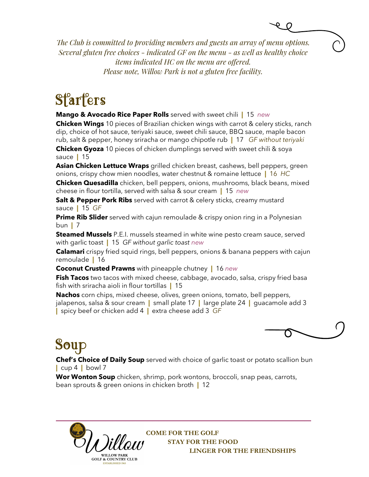*The Club is committed to providing members and guests an array of menu options. Several gluten free choices - indicated GF on the menu - as well as healthy choice items indicated HC on the menu are offered. Please note, Willow Park is not a gluten free facility.* 

# **Starters**

**Mango & Avocado Rice Paper Rolls** served with sweet chili **|** 15 *new*

**Chicken Wings** 10 pieces of Brazilian chicken wings with carrot & celery sticks, ranch dip, choice of hot sauce, teriyaki sauce, sweet chili sauce, BBQ sauce, maple bacon rub, salt & pepper, honey sriracha or mango chipotle rub **|** 17 *GF without teriyaki*  **Chicken Gyoza** 10 pieces of chicken dumplings served with sweet chili & soya sauce **|** 15

**Asian Chicken Lettuce Wraps** grilled chicken breast, cashews, bell peppers, green onions, crispy chow mien noodles, water chestnut & romaine lettuce **|** 16 *HC* 

**Chicken Quesadilla** chicken, bell peppers, onions, mushrooms, black beans, mixed cheese in flour tortilla, served with salsa & sour cream **|** 15 *new*

**Salt & Pepper Pork Ribs** served with carrot & celery sticks, creamy mustard sauce **|** 15 *GF*

**Prime Rib Slider** served with cajun remoulade & crispy onion ring in a Polynesian bun **|** 7

**Steamed Mussels** P.E.I. mussels steamed in white wine pesto cream sauce, served with garlic toast **|** 15 *GF without garlic toast new*

**Calamari** crispy fried squid rings, bell peppers, onions & banana peppers with cajun remoulade **|** 16

**Coconut Crusted Prawns** with pineapple chutney **|** 16 *new*

**Fish Tacos** two tacos with mixed cheese, cabbage, avocado, salsa, crispy fried basa fish with sriracha aioli in flour tortillas **|** 15

**Nachos** corn chips, mixed cheese, olives, green onions, tomato, bell peppers, jalapenos, salsa & sour cream **|** small plate 17 **|** large plate 24 **|** guacamole add 3 **|** spicy beef or chicken add 4 **|** extra cheese add 3 *GF*



# Soup

**Chef's Choice of Daily Soup** served with choice of garlic toast or potato scallion bun **|** cup 4 **|** bowl 7

**Wor Wonton Soup** chicken, shrimp, pork wontons, broccoli, snap peas, carrots, bean sprouts & green onions in chicken broth **|** 12



**COME FOR THE GOLF STAY FOR THE FOOD LINGER FOR THE FRIENDSHIPS**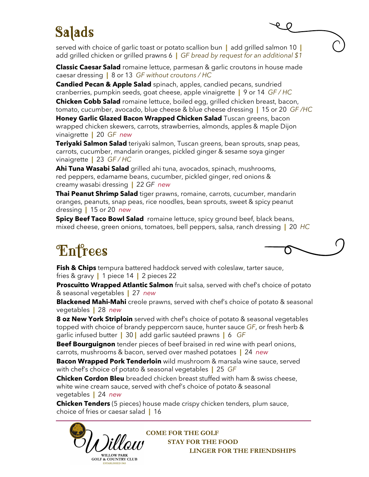### Salads

served with choice of garlic toast or potato scallion bun **|** add grilled salmon 10 **|**  add grilled chicken or grilled prawns 6 **|** *GF bread by request for an additional \$1*

**Classic Caesar Salad** romaine lettuce, parmesan & garlic croutons in house made caesar dressing **|** 8 or 13 *GF without croutons / HC* 

**Candied Pecan & Apple Salad** spinach, apples, candied pecans, sundried cranberries, pumpkin seeds, goat cheese, apple vinaigrette **|** 9 or 14 *GF / HC*

**Chicken Cobb Salad** romaine lettuce, boiled egg, grilled chicken breast, bacon, tomato, cucumber, avocado, blue cheese & blue cheese dressing **|** 15 or 20 *GF /HC* 

**Honey Garlic Glazed Bacon Wrapped Chicken Salad** Tuscan greens, bacon wrapped chicken skewers, carrots, strawberries, almonds, apples & maple Dijon vinaigrette **|** 20 *GF new*

**Teriyaki Salmon Salad** teriyaki salmon, Tuscan greens, bean sprouts, snap peas, carrots, cucumber, mandarin oranges, pickled ginger & sesame soya ginger vinaigrette **|** 23 *GF / HC* 

**Ahi Tuna Wasabi Salad** grilled ahi tuna, avocados, spinach, mushrooms, red peppers, edamame beans, cucumber, pickled ginger, red onions & creamy wasabi dressing **|** 22 *GF new*

**Thai Peanut Shrimp Salad** tiger prawns, romaine, carrots, cucumber, mandarin oranges, peanuts, snap peas, rice noodles, bean sprouts, sweet & spicy peanut dressing **|** 15 or 20 *new*

**Spicy Beef Taco Bowl Salad** romaine lettuce, spicy ground beef, black beans, mixed cheese, green onions, tomatoes, bell peppers, salsa, ranch dressing **|** 20 *HC* 

### **Enfrees**

**Fish & Chips** tempura battered haddock served with coleslaw, tarter sauce, fries & gravy **|** 1 piece 14 **|** 2 pieces 22

**Proscuitto Wrapped Atlantic Salmon** fruit salsa, served with chef's choice of potato & seasonal vegetables **|** 27 *new*

**Blackened Mahi-Mahi** creole prawns, served with chef's choice of potato & seasonal vegetables **|** 28 *new*

**8 oz New York Striploin** served with chef's choice of potato & seasonal vegetables topped with choice of brandy peppercorn sauce, hunter sauce *GF*, or fresh herb & garlic infused butter **|** 30 **|** add garlic sautéed prawns **|** 6 *GF*

**Beef Bourguignon** tender pieces of beef braised in red wine with pearl onions, carrots, mushrooms & bacon, served over mashed potatoes **|** 24 *new*

**Bacon Wrapped Pork Tenderloin** wild mushroom & marsala wine sauce, served with chef's choice of potato & seasonal vegetables **|** 25 *GF*

**Chicken Cordon Bleu** breaded chicken breast stuffed with ham & swiss cheese, white wine cream sauce, served with chef's choice of potato & seasonal vegetables **|** 24 *new*

**\_\_\_\_\_\_\_\_\_\_\_\_\_\_\_\_\_\_\_\_\_\_\_\_\_\_\_\_\_\_\_\_\_\_\_\_\_\_\_\_\_\_\_\_\_\_\_\_\_\_\_\_\_\_\_\_\_\_\_\_\_\_\_\_\_\_\_\_\_\_\_\_\_\_\_\_\_ Chicken Tenders** (5 pieces) house made crispy chicken tenders, plum sauce, choice of fries or caesar salad **|** 16



**COME FOR THE GOLF STAY FOR THE FOOD LINGER FOR THE FRIENDSHIPS**

 $\overline{\phantom{a}}$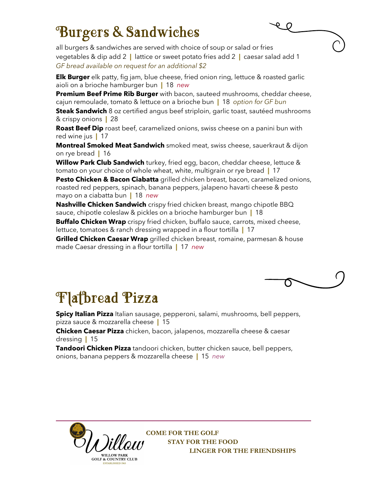#### Burgers & Sandwiches

all burgers & sandwiches are served with choice of soup or salad or fries vegetables & dip add 2 **|** lattice or sweet potato fries add 2 **|** caesar salad add 1 *GF bread available on request for an additional \$2*

**Elk Burger** elk patty, fig jam, blue cheese, fried onion ring, lettuce & roasted garlic aioli on a brioche hamburger bun **|** 18 *new*

**Premium Beef Prime Rib Burger** with bacon, sauteed mushrooms, cheddar cheese, cajun remoulade, tomato & lettuce on a brioche bun **|** 18 *option for GF bun* 

**Steak Sandwich** 8 oz certified angus beef striploin, garlic toast, sautéed mushrooms & crispy onions **|** 28

**Roast Beef Dip** roast beef, caramelized onions, swiss cheese on a panini bun with red wine jus **|** 17

**Montreal Smoked Meat Sandwich** smoked meat, swiss cheese, sauerkraut & dijon on rye bread **|** 16

**Willow Park Club Sandwich** turkey, fried egg, bacon, cheddar cheese, lettuce & tomato on your choice of whole wheat, white, multigrain or rye bread **|** 17

**Pesto Chicken & Bacon Ciabatta** grilled chicken breast, bacon, caramelized onions, roasted red peppers, spinach, banana peppers, jalapeno havarti cheese & pesto mayo on a ciabatta bun **|** 18 *new*

**Nashville Chicken Sandwich** crispy fried chicken breast, mango chipotle BBQ sauce, chipotle coleslaw & pickles on a brioche hamburger bun **|** 18

**Buffalo Chicken Wrap** crispy fried chicken, buffalo sauce, carrots, mixed cheese, lettuce, tomatoes & ranch dressing wrapped in a flour tortilla **|** 17

**Grilled Chicken Caesar Wrap** grilled chicken breast, romaine, parmesan & house made Caesar dressing in a flour tortilla **|** 17 *new*



## **Flatbread Pizza**

**Spicy Italian Pizza** Italian sausage, pepperoni, salami, mushrooms, bell peppers, pizza sauce & mozzarella cheese **|** 15

**Chicken Caesar Pizza** chicken, bacon, jalapenos, mozzarella cheese & caesar dressing **|** 15

**Tandoori Chicken Pizza** tandoori chicken, butter chicken sauce, bell peppers, onions, banana peppers & mozzarella cheese **|** 15 *new*



**COME FOR THE GOLF STAY FOR THE FOOD LINGER FOR THE FRIENDSHIPS**